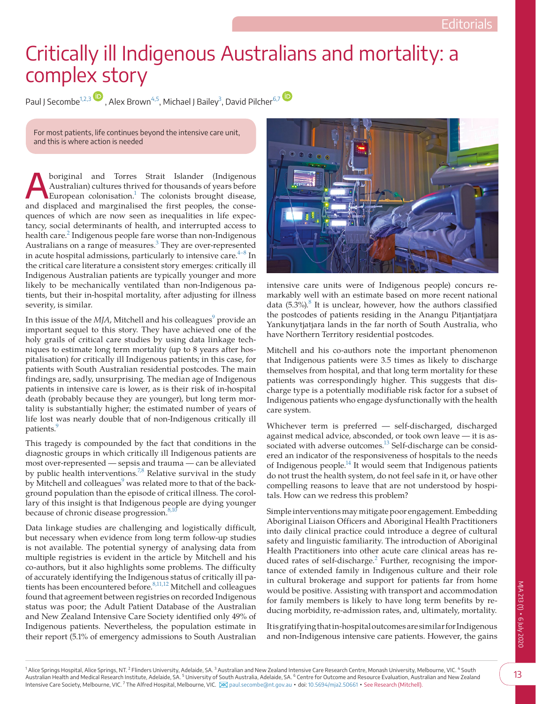## Critically ill Indigenous Australians and mortality: a complex story

Paul J Secombe<sup>[1,2,3](#page-0-0)</sup>[,](https://orcid.org/0000-0002-1137-0512) Alex Brown<sup>4,5</sup>, Michael J Bailey<sup>3</sup>, David Pilcher<sup>[6,7](#page-0-3)</sup>



For most patients, life continues beyond the intensive care unit, and this is where action is needed

Aboriginal and Torres Strait Islander (Indigenous Australian) cultures thrived for thousands of years before<br>European colonisation.<sup>1</sup> The colonists brought disease, Australian) cultures thrived for thousands of years before and displaced and marginalised the first peoples, the consequences of which are now seen as inequalities in life expectancy, social determinants of health, and interrupted access to health care.<sup>[2](#page-1-1)</sup> Indigenous people fare worse than non-Indigenous Australians on a range of measures.<sup>[3](#page-1-2)</sup> They are over-represented in acute hospital admissions, particularly to intensive care. $4-8$  In the critical care literature a consistent story emerges: critically ill Indigenous Australian patients are typically younger and more likely to be mechanically ventilated than non-Indigenous patients, but their in-hospital mortality, after adjusting for illness severity, is similar.

In this issue of the  $MJA$ , Mitchell and his colleagues $^9$  $^9$  provide an important sequel to this story. They have achieved one of the holy grails of critical care studies by using data linkage techniques to estimate long term mortality (up to 8 years after hospitalisation) for critically ill Indigenous patients; in this case, for patients with South Australian residential postcodes. The main findings are, sadly, unsurprising. The median age of Indigenous patients in intensive care is lower, as is their risk of in-hospital death (probably because they are younger), but long term mortality is substantially higher; the estimated number of years of life lost was nearly double that of non-Indigenous critically ill patients.<sup>9</sup>

This tragedy is compounded by the fact that conditions in the diagnostic groups in which critically ill Indigenous patients are most over-represented — sepsis and trauma — can be alleviated by public health interventions.<sup>7,8</sup> Relative survival in the study by Mitchell and colleagues<sup>9</sup> was related more to that of the background population than the episode of critical illness. The corollary of this insight is that Indigenous people are dying younger because of chronic disease progression.<sup>8,1</sup>

<span id="page-0-0"></span>Data linkage studies are challenging and logistically difficult, but necessary when evidence from long term follow-up studies is not available. The potential synergy of analysing data from multiple registries is evident in the article by Mitchell and his co-authors, but it also highlights some problems. The difficulty of accurately identifying the Indigenous status of critically ill patients has been encountered before.<sup>8,11,12</sup> Mitchell and colleagues found that agreement between registries on recorded Indigenous status was poor; the Adult Patient Database of the Australian and New Zealand Intensive Care Society identified only 49% of Indigenous patients. Nevertheless, the population estimate in their report (5.1% of emergency admissions to South Australian



intensive care units were of Indigenous people) concurs remarkably well with an estimate based on more recent national data  $(5.3\%)$ .<sup>[8](#page-1-6)</sup> It is unclear, however, how the authors classified the postcodes of patients residing in the Anangu Pitjantjatjara Yankunytjatjara lands in the far north of South Australia, who have Northern Territory residential postcodes.

Mitchell and his co-authors note the important phenomenon that Indigenous patients were 3.5 times as likely to discharge themselves from hospital, and that long term mortality for these patients was correspondingly higher. This suggests that discharge type is a potentially modifiable risk factor for a subset of Indigenous patients who engage dysfunctionally with the health care system.

Whichever term is preferred — self-discharged, discharged against medical advice, absconded, or took own leave — it is associated with adverse outcomes.<sup>13</sup> Self-discharge can be considered an indicator of the responsiveness of hospitals to the needs of Indigenous people. $14$  It would seem that Indigenous patients do not trust the health system, do not feel safe in it, or have other compelling reasons to leave that are not understood by hospitals. How can we redress this problem?

Simple interventions may mitigate poor engagement. Embedding Aboriginal Liaison Officers and Aboriginal Health Practitioners into daily clinical practice could introduce a degree of cultural safety and linguistic familiarity. The introduction of Aboriginal Health Practitioners into other acute care clinical areas has reduced rates of self-discharge. $^2$  $^2$  Further, recognising the importance of extended family in Indigenous culture and their role in cultural brokerage and support for patients far from home would be positive. Assisting with transport and accommodation for family members is likely to have long term benefits by reducing morbidity, re-admission rates, and, ultimately, mortality.

<span id="page-0-3"></span><span id="page-0-2"></span><span id="page-0-1"></span>It is gratifying that in-hospital outcomes are similar for Indigenous and non-Indigenous intensive care patients. However, the gains